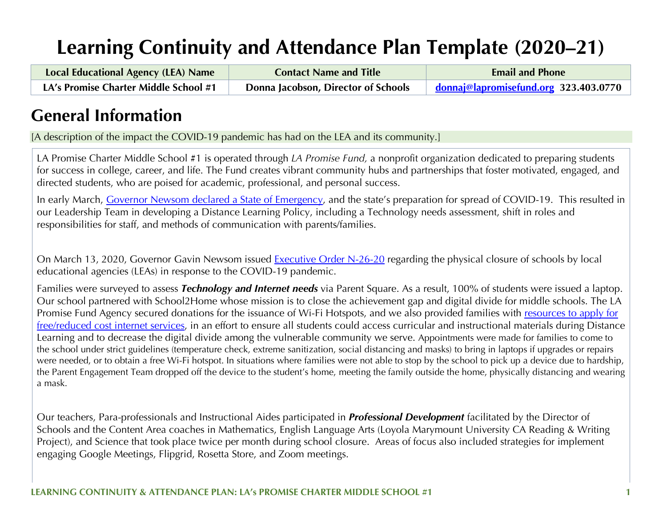# **Learning Continuity and Attendance Plan Template (2020–21)**

| <b>Local Educational Agency (LEA) Name</b> | <b>Contact Name and Title</b>       | <b>Email and Phone</b>                |  |  |
|--------------------------------------------|-------------------------------------|---------------------------------------|--|--|
| LA's Promise Charter Middle School #1      | Donna Jacobson, Director of Schools | donnaj@lapromisefund.org 323.403.0770 |  |  |

## **General Information**

[A description of the impact the COVID-19 pandemic has had on the LEA and its community.]

LA Promise Charter Middle School #1 is operated through *LA Promise Fund,* a nonprofit organization dedicated to preparing students for success in college, career, and life. The Fund creates vibrant community hubs and partnerships that foster motivated, engaged, and directed students, who are poised for academic, professional, and personal success.

In early March, Governor Newsom declared a State of Emergency, and the state's preparation for spread of COVID-19. This resulted in our Leadership Team in developing a Distance Learning Policy, including a Technology needs assessment, shift in roles and responsibilities for staff, and methods of communication with parents/families.

On March 13, 2020, Governor Gavin Newsom issued Executive Order N-26-20 regarding the physical closure of schools by local educational agencies (LEAs) in response to the COVID-19 pandemic.

Families were surveyed to assess *Technology and Internet needs* via Parent Square. As a result, 100% of students were issued a laptop. Our school partnered with School2Home whose mission is to close the achievement gap and digital divide for middle schools. The LA Promise Fund Agency secured donations for the issuance of Wi-Fi Hotspots, and we also provided families with resources to apply for free/reduced cost internet services, in an effort to ensure all students could access curricular and instructional materials during Distance Learning and to decrease the digital divide among the vulnerable community we serve. Appointments were made for families to come to the school under strict guidelines (temperature check, extreme sanitization, social distancing and masks) to bring in laptops if upgrades or repairs were needed, or to obtain a free Wi-Fi hotspot. In situations where families were not able to stop by the school to pick up a device due to hardship, the Parent Engagement Team dropped off the device to the student's home, meeting the family outside the home, physically distancing and wearing a mask.

Our teachers, Para-professionals and Instructional Aides participated in *Professional Development* facilitated by the Director of Schools and the Content Area coaches in Mathematics, English Language Arts (Loyola Marymount University CA Reading & Writing Project), and Science that took place twice per month during school closure. Areas of focus also included strategies for implement engaging Google Meetings, Flipgrid, Rosetta Store, and Zoom meetings.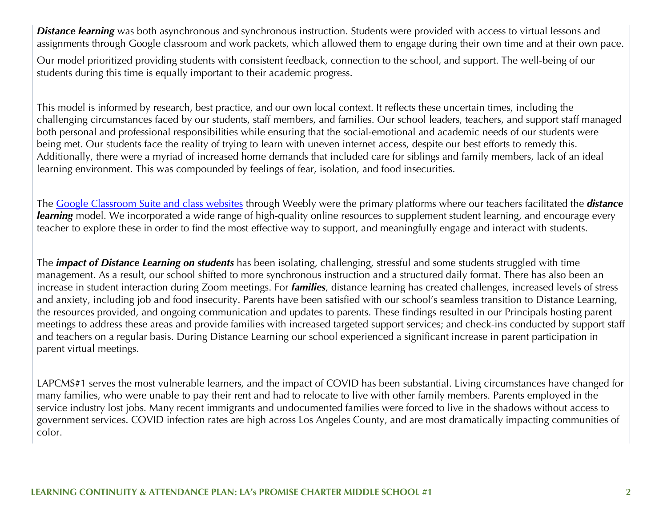**Distance learning** was both asynchronous and synchronous instruction. Students were provided with access to virtual lessons and assignments through Google classroom and work packets, which allowed them to engage during their own time and at their own pace.

Our model prioritized providing students with consistent feedback, connection to the school, and support. The well-being of our students during this time is equally important to their academic progress.

This model is informed by research, best practice, and our own local context. It reflects these uncertain times, including the challenging circumstances faced by our students, staff members, and families. Our school leaders, teachers, and support staff managed both personal and professional responsibilities while ensuring that the social-emotional and academic needs of our students were being met. Our students face the reality of trying to learn with uneven internet access, despite our best efforts to remedy this. Additionally, there were a myriad of increased home demands that included care for siblings and family members, lack of an ideal learning environment. This was compounded by feelings of fear, isolation, and food insecurities.

The Google Classroom Suite and class websites through Weebly were the primary platforms where our teachers facilitated the *distance learning* model. We incorporated a wide range of high-quality online resources to supplement student learning, and encourage every teacher to explore these in order to find the most effective way to support, and meaningfully engage and interact with students.

The *impact of Distance Learning on students* has been isolating, challenging, stressful and some students struggled with time management. As a result, our school shifted to more synchronous instruction and a structured daily format. There has also been an increase in student interaction during Zoom meetings. For *families*, distance learning has created challenges, increased levels of stress and anxiety, including job and food insecurity. Parents have been satisfied with our school's seamless transition to Distance Learning, the resources provided, and ongoing communication and updates to parents. These findings resulted in our Principals hosting parent meetings to address these areas and provide families with increased targeted support services; and check-ins conducted by support staff and teachers on a regular basis. During Distance Learning our school experienced a significant increase in parent participation in parent virtual meetings.

LAPCMS#1 serves the most vulnerable learners, and the impact of COVID has been substantial. Living circumstances have changed for many families, who were unable to pay their rent and had to relocate to live with other family members. Parents employed in the service industry lost jobs. Many recent immigrants and undocumented families were forced to live in the shadows without access to government services. COVID infection rates are high across Los Angeles County, and are most dramatically impacting communities of color.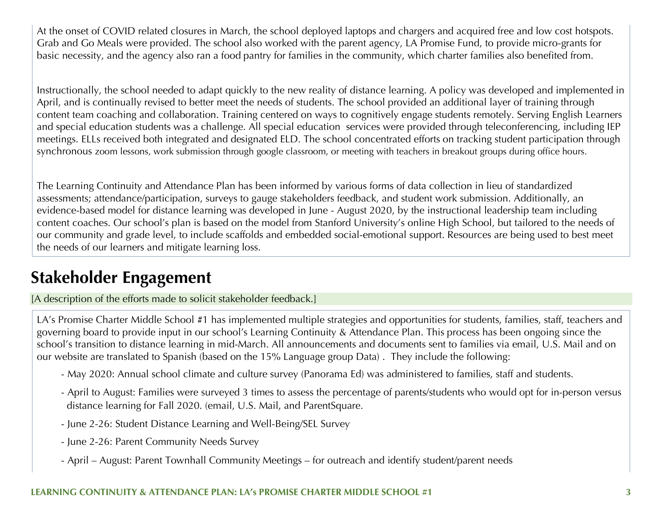At the onset of COVID related closures in March, the school deployed laptops and chargers and acquired free and low cost hotspots. Grab and Go Meals were provided. The school also worked with the parent agency, LA Promise Fund, to provide micro-grants for basic necessity, and the agency also ran a food pantry for families in the community, which charter families also benefited from.

Instructionally, the school needed to adapt quickly to the new reality of distance learning. A policy was developed and implemented in April, and is continually revised to better meet the needs of students. The school provided an additional layer of training through content team coaching and collaboration. Training centered on ways to cognitively engage students remotely. Serving English Learners and special education students was a challenge. All special education services were provided through teleconferencing, including IEP meetings. ELLs received both integrated and designated ELD. The school concentrated efforts on tracking student participation through synchronous zoom lessons, work submission through google classroom, or meeting with teachers in breakout groups during office hours.

The Learning Continuity and Attendance Plan has been informed by various forms of data collection in lieu of standardized assessments; attendance/participation, surveys to gauge stakeholders feedback, and student work submission. Additionally, an evidence-based model for distance learning was developed in June - August 2020, by the instructional leadership team including content coaches. Our school's plan is based on the model from Stanford University's online High School, but tailored to the needs of our community and grade level, to include scaffolds and embedded social-emotional support. Resources are being used to best meet the needs of our learners and mitigate learning loss.

## **Stakeholder Engagement**

[A description of the efforts made to solicit stakeholder feedback.]

LA's Promise Charter Middle School #1 has implemented multiple strategies and opportunities for students, families, staff, teachers and governing board to provide input in our school's Learning Continuity & Attendance Plan. This process has been ongoing since the school's transition to distance learning in mid-March. All announcements and documents sent to families via email, U.S. Mail and on our website are translated to Spanish (based on the 15% Language group Data) . They include the following:

- May 2020: Annual school climate and culture survey (Panorama Ed) was administered to families, staff and students.
- April to August: Families were surveyed 3 times to assess the percentage of parents/students who would opt for in-person versus distance learning for Fall 2020. (email, U.S. Mail, and ParentSquare.
- June 2-26: Student Distance Learning and Well-Being/SEL Survey
- June 2-26: Parent Community Needs Survey
- April August: Parent Townhall Community Meetings for outreach and identify student/parent needs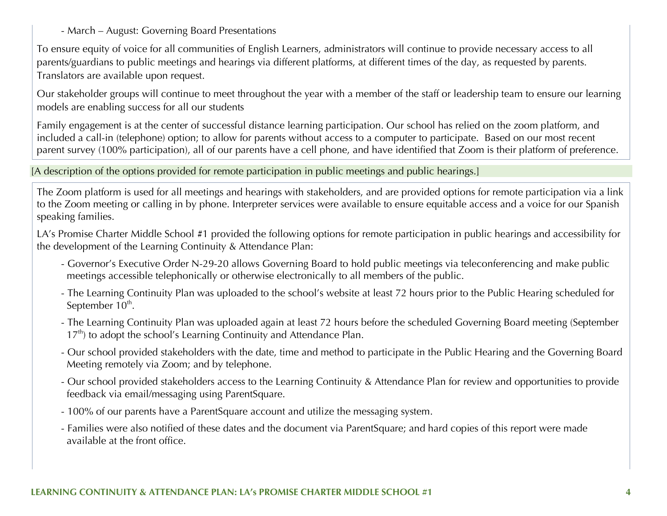- March – August: Governing Board Presentations

To ensure equity of voice for all communities of English Learners, administrators will continue to provide necessary access to all parents/guardians to public meetings and hearings via different platforms, at different times of the day, as requested by parents. Translators are available upon request.

Our stakeholder groups will continue to meet throughout the year with a member of the staff or leadership team to ensure our learning models are enabling success for all our students

Family engagement is at the center of successful distance learning participation. Our school has relied on the zoom platform, and included a call-in (telephone) option; to allow for parents without access to a computer to participate. Based on our most recent parent survey (100% participation), all of our parents have a cell phone, and have identified that Zoom is their platform of preference.

[A description of the options provided for remote participation in public meetings and public hearings.]

The Zoom platform is used for all meetings and hearings with stakeholders, and are provided options for remote participation via a link to the Zoom meeting or calling in by phone. Interpreter services were available to ensure equitable access and a voice for our Spanish speaking families.

LA's Promise Charter Middle School #1 provided the following options for remote participation in public hearings and accessibility for the development of the Learning Continuity & Attendance Plan:

- Governor's Executive Order N-29-20 allows Governing Board to hold public meetings via teleconferencing and make public meetings accessible telephonically or otherwise electronically to all members of the public.
- The Learning Continuity Plan was uploaded to the school's website at least 72 hours prior to the Public Hearing scheduled for September 10<sup>th</sup>.
- The Learning Continuity Plan was uploaded again at least 72 hours before the scheduled Governing Board meeting (September  $17<sup>th</sup>$ ) to adopt the school's Learning Continuity and Attendance Plan.
- Our school provided stakeholders with the date, time and method to participate in the Public Hearing and the Governing Board Meeting remotely via Zoom; and by telephone.
- Our school provided stakeholders access to the Learning Continuity & Attendance Plan for review and opportunities to provide feedback via email/messaging using ParentSquare.
- 100% of our parents have a ParentSquare account and utilize the messaging system.
- Families were also notified of these dates and the document via ParentSquare; and hard copies of this report were made available at the front office.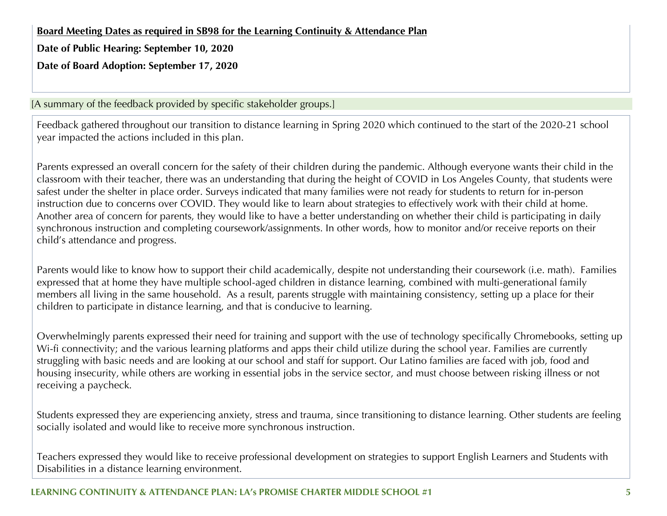**Board Meeting Dates as required in SB98 for the Learning Continuity & Attendance Plan**

**Date of Public Hearing: September 10, 2020**

**Date of Board Adoption: September 17, 2020**

[A summary of the feedback provided by specific stakeholder groups.]

Feedback gathered throughout our transition to distance learning in Spring 2020 which continued to the start of the 2020-21 school year impacted the actions included in this plan.

Parents expressed an overall concern for the safety of their children during the pandemic. Although everyone wants their child in the classroom with their teacher, there was an understanding that during the height of COVID in Los Angeles County, that students were safest under the shelter in place order. Surveys indicated that many families were not ready for students to return for in-person instruction due to concerns over COVID. They would like to learn about strategies to effectively work with their child at home. Another area of concern for parents, they would like to have a better understanding on whether their child is participating in daily synchronous instruction and completing coursework/assignments. In other words, how to monitor and/or receive reports on their child's attendance and progress.

Parents would like to know how to support their child academically, despite not understanding their coursework (i.e. math). Families expressed that at home they have multiple school-aged children in distance learning, combined with multi-generational family members all living in the same household. As a result, parents struggle with maintaining consistency, setting up a place for their children to participate in distance learning, and that is conducive to learning.

Overwhelmingly parents expressed their need for training and support with the use of technology specifically Chromebooks, setting up Wi-fi connectivity; and the various learning platforms and apps their child utilize during the school year. Families are currently struggling with basic needs and are looking at our school and staff for support. Our Latino families are faced with job, food and housing insecurity, while others are working in essential jobs in the service sector, and must choose between risking illness or not receiving a paycheck.

Students expressed they are experiencing anxiety, stress and trauma, since transitioning to distance learning. Other students are feeling socially isolated and would like to receive more synchronous instruction.

Teachers expressed they would like to receive professional development on strategies to support English Learners and Students with Disabilities in a distance learning environment.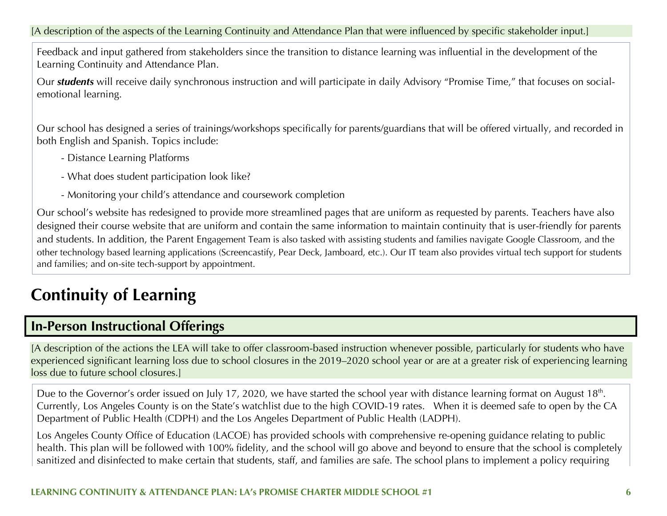[A description of the aspects of the Learning Continuity and Attendance Plan that were influenced by specific stakeholder input.]

Feedback and input gathered from stakeholders since the transition to distance learning was influential in the development of the Learning Continuity and Attendance Plan.

Our *students* will receive daily synchronous instruction and will participate in daily Advisory "Promise Time," that focuses on socialemotional learning.

Our school has designed a series of trainings/workshops specifically for parents/guardians that will be offered virtually, and recorded in both English and Spanish. Topics include:

- Distance Learning Platforms
- What does student participation look like?
- Monitoring your child's attendance and coursework completion

Our school's website has redesigned to provide more streamlined pages that are uniform as requested by parents. Teachers have also designed their course website that are uniform and contain the same information to maintain continuity that is user-friendly for parents and students. In addition, the Parent Engagement Team is also tasked with assisting students and families navigate Google Classroom, and the other technology based learning applications (Screencastify, Pear Deck, Jamboard, etc.). Our IT team also provides virtual tech support for students and families; and on-site tech-support by appointment.

## **Continuity of Learning**

### **In-Person Instructional Offerings**

[A description of the actions the LEA will take to offer classroom-based instruction whenever possible, particularly for students who have experienced significant learning loss due to school closures in the 2019–2020 school year or are at a greater risk of experiencing learning loss due to future school closures.]

Due to the Governor's order issued on July 17, 2020, we have started the school year with distance learning format on August 18<sup>th</sup>. Currently, Los Angeles County is on the State's watchlist due to the high COVID-19 rates. When it is deemed safe to open by the CA Department of Public Health (CDPH) and the Los Angeles Department of Public Health (LADPH).

Los Angeles County Office of Education (LACOE) has provided schools with comprehensive re-opening guidance relating to public health. This plan will be followed with 100% fidelity, and the school will go above and beyond to ensure that the school is completely sanitized and disinfected to make certain that students, staff, and families are safe. The school plans to implement a policy requiring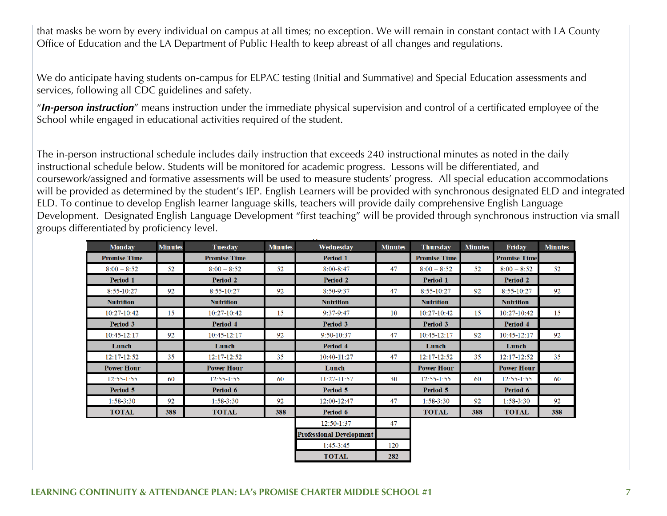that masks be worn by every individual on campus at all times; no exception. We will remain in constant contact with LA County Office of Education and the LA Department of Public Health to keep abreast of all changes and regulations.

We do anticipate having students on-campus for ELPAC testing (Initial and Summative) and Special Education assessments and services, following all CDC guidelines and safety.

"*In-person instruction*" means instruction under the immediate physical supervision and control of a certificated employee of the School while engaged in educational activities required of the student.

The in-person instructional schedule includes daily instruction that exceeds 240 instructional minutes as noted in the daily instructional schedule below. Students will be monitored for academic progress. Lessons will be differentiated, and coursework/assigned and formative assessments will be used to measure students' progress. All special education accommodations will be provided as determined by the student's IEP. English Learners will be provided with synchronous designated ELD and integrated ELD. To continue to develop English learner language skills, teachers will provide daily comprehensive English Language Development. Designated English Language Development "first teaching" will be provided through synchronous instruction via small groups differentiated by proficiency level.

| <b>Promise Time</b><br><b>Promise Time</b><br><b>Promise Time</b><br><b>Promise Time</b><br>Period 1<br>52<br>$8:00 - 8:52$<br>$8:00 - 8:52$<br>$8:00 - 8:52$<br>52<br>47<br>52<br>$8:00 - 8:52$<br>$8:00 - 8:47$<br>52<br><b>Period 2</b><br>Period 1<br>Period 2<br>Period 1<br>Period 2<br>92<br>92<br>47<br>92<br>$8:55 - 10:27$<br>92<br>8:55-10:27<br>8:50-9:37<br>8:55-10:27<br>$8:55 - 10:27$<br><b>Nutrition</b><br><b>Nutrition</b><br><b>Nutrition</b><br><b>Nutrition</b><br><b>Nutrition</b><br>15<br>9:37-9:47<br>10:27-10:42<br>15<br>10:27-10:42<br>10:27-10:42<br>10:27-10:42<br>15<br>10<br>15<br><b>Period 3</b><br>Period 3<br>Period 4<br>Period 3<br>Period 4<br>47<br>92<br>92<br>10:45-12:17<br>92<br>10:45-12:17<br>92<br>10:45-12:17<br>10:45-12:17<br>9:50-10:37<br>Period 4<br>Lunch<br>Lunch<br>Lunch<br>Lunch<br>35<br>35<br>$10:40-11:27$<br>47<br>12:17-12:52<br>35<br>$12:17 - 12:52$<br>12:17-12:52<br>12:17-12:52<br>35<br>Lunch<br><b>Power Hour</b><br><b>Power Hour</b><br><b>Power Hour</b><br><b>Power Hour</b><br>60<br>11:27-11:57<br>30<br>$12:55 - 1:55$<br>$12:55 - 1:55$<br>$12:55 - 1:55$<br>$12:55 - 1:55$<br>60<br>60<br>60 | <b>Monday</b> | <b>Minutes</b> | Tuesday  | <b>Minutes</b> | Wednesday | <b>Minutes</b> | <b>Thursday</b> | <b>Minutes</b> | <b>Friday</b> | <b>Minutes</b> |
|------------------------------------------------------------------------------------------------------------------------------------------------------------------------------------------------------------------------------------------------------------------------------------------------------------------------------------------------------------------------------------------------------------------------------------------------------------------------------------------------------------------------------------------------------------------------------------------------------------------------------------------------------------------------------------------------------------------------------------------------------------------------------------------------------------------------------------------------------------------------------------------------------------------------------------------------------------------------------------------------------------------------------------------------------------------------------------------------------------------------------------------------------------------------------|---------------|----------------|----------|----------------|-----------|----------------|-----------------|----------------|---------------|----------------|
|                                                                                                                                                                                                                                                                                                                                                                                                                                                                                                                                                                                                                                                                                                                                                                                                                                                                                                                                                                                                                                                                                                                                                                              |               |                |          |                |           |                |                 |                |               |                |
|                                                                                                                                                                                                                                                                                                                                                                                                                                                                                                                                                                                                                                                                                                                                                                                                                                                                                                                                                                                                                                                                                                                                                                              |               |                |          |                |           |                |                 |                |               |                |
|                                                                                                                                                                                                                                                                                                                                                                                                                                                                                                                                                                                                                                                                                                                                                                                                                                                                                                                                                                                                                                                                                                                                                                              |               |                |          |                |           |                |                 |                |               |                |
|                                                                                                                                                                                                                                                                                                                                                                                                                                                                                                                                                                                                                                                                                                                                                                                                                                                                                                                                                                                                                                                                                                                                                                              |               |                |          |                |           |                |                 |                |               |                |
|                                                                                                                                                                                                                                                                                                                                                                                                                                                                                                                                                                                                                                                                                                                                                                                                                                                                                                                                                                                                                                                                                                                                                                              |               |                |          |                |           |                |                 |                |               |                |
|                                                                                                                                                                                                                                                                                                                                                                                                                                                                                                                                                                                                                                                                                                                                                                                                                                                                                                                                                                                                                                                                                                                                                                              |               |                |          |                |           |                |                 |                |               |                |
|                                                                                                                                                                                                                                                                                                                                                                                                                                                                                                                                                                                                                                                                                                                                                                                                                                                                                                                                                                                                                                                                                                                                                                              |               |                |          |                |           |                |                 |                |               |                |
|                                                                                                                                                                                                                                                                                                                                                                                                                                                                                                                                                                                                                                                                                                                                                                                                                                                                                                                                                                                                                                                                                                                                                                              |               |                |          |                |           |                |                 |                |               |                |
|                                                                                                                                                                                                                                                                                                                                                                                                                                                                                                                                                                                                                                                                                                                                                                                                                                                                                                                                                                                                                                                                                                                                                                              |               |                |          |                |           |                |                 |                |               |                |
|                                                                                                                                                                                                                                                                                                                                                                                                                                                                                                                                                                                                                                                                                                                                                                                                                                                                                                                                                                                                                                                                                                                                                                              |               |                |          |                |           |                |                 |                |               |                |
|                                                                                                                                                                                                                                                                                                                                                                                                                                                                                                                                                                                                                                                                                                                                                                                                                                                                                                                                                                                                                                                                                                                                                                              |               |                |          |                |           |                |                 |                |               |                |
|                                                                                                                                                                                                                                                                                                                                                                                                                                                                                                                                                                                                                                                                                                                                                                                                                                                                                                                                                                                                                                                                                                                                                                              |               |                |          |                |           |                |                 |                |               |                |
|                                                                                                                                                                                                                                                                                                                                                                                                                                                                                                                                                                                                                                                                                                                                                                                                                                                                                                                                                                                                                                                                                                                                                                              | Period 5      |                | Period 6 |                | Period 5  |                | Period 5        |                | Period 6      |                |
| 92<br>92<br>47<br>$1:58 - 3:30$<br>$1:58-3:30$<br>92<br>1:58-3:30<br>92<br>$1:58-3:30$<br>12:00-12:47                                                                                                                                                                                                                                                                                                                                                                                                                                                                                                                                                                                                                                                                                                                                                                                                                                                                                                                                                                                                                                                                        |               |                |          |                |           |                |                 |                |               |                |
| <b>TOTAL</b><br>388<br><b>TOTAL</b><br>388<br><b>TOTAL</b><br>388<br><b>TOTAL</b><br>388<br>Period 6                                                                                                                                                                                                                                                                                                                                                                                                                                                                                                                                                                                                                                                                                                                                                                                                                                                                                                                                                                                                                                                                         |               |                |          |                |           |                |                 |                |               |                |
| 47<br>12:50-1:37                                                                                                                                                                                                                                                                                                                                                                                                                                                                                                                                                                                                                                                                                                                                                                                                                                                                                                                                                                                                                                                                                                                                                             |               |                |          |                |           |                |                 |                |               |                |
| <b>Professional Development</b>                                                                                                                                                                                                                                                                                                                                                                                                                                                                                                                                                                                                                                                                                                                                                                                                                                                                                                                                                                                                                                                                                                                                              |               |                |          |                |           |                |                 |                |               |                |
| $1:45-3:45$<br>120                                                                                                                                                                                                                                                                                                                                                                                                                                                                                                                                                                                                                                                                                                                                                                                                                                                                                                                                                                                                                                                                                                                                                           |               |                |          |                |           |                |                 |                |               |                |
| <b>TOTAL</b><br>282                                                                                                                                                                                                                                                                                                                                                                                                                                                                                                                                                                                                                                                                                                                                                                                                                                                                                                                                                                                                                                                                                                                                                          |               |                |          |                |           |                |                 |                |               |                |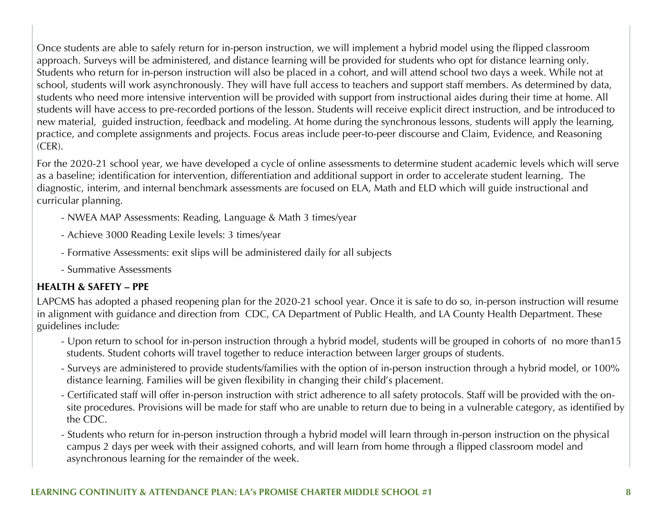Once students are able to safely return for in-person instruction, we will implement a hybrid model using the flipped classroom approach. Surveys will be administered, and distance learning will be provided for students who opt for distance learning only. Students who return for in-person instruction will also be placed in a cohort, and will attend school two days a week. While not at school, students will work asynchronously. They will have full access to teachers and support staff members. As determined by data, students who need more intensive intervention will be provided with support from instructional aides during their time at home. All students will have access to pre-recorded portions of the lesson. Students will receive explicit direct instruction, and be introduced to new material, guided instruction, feedback and modeling. At home during the synchronous lessons, students will apply the learning, practice, and complete assignments and projects. Focus areas include peer-to-peer discourse and Claim, Evidence, and Reasoning (CER).

For the 2020-21 school year, we have developed a cycle of online assessments to determine student academic levels which will serve as a baseline; identification for intervention, differentiation and additional support in order to accelerate student learning. The diagnostic, interim, and internal benchmark assessments are focused on ELA, Math and ELD which will guide instructional and curricular planning.

- NWEA MAP Assessments: Reading, Language & Math 3 times/year
- Achieve 3000 Reading Lexile levels: 3 times/year
- Formative Assessments: exit slips will be administered daily for all subjects
- Summative Assessments

#### **HEALTH & SAFETY – PPE**

LAPCMS has adopted a phased reopening plan for the 2020-21 school year. Once it is safe to do so, in-person instruction will resume in alignment with guidance and direction from CDC, CA Department of Public Health, and LA County Health Department. These guidelines include:

- Upon return to school for in-person instruction through a hybrid model, students will be grouped in cohorts of no more than15 students. Student cohorts will travel together to reduce interaction between larger groups of students.
- Surveys are administered to provide students/families with the option of in-person instruction through a hybrid model, or 100% distance learning. Families will be given flexibility in changing their child's placement.
- Certificated staff will offer in-person instruction with strict adherence to all safety protocols. Staff will be provided with the on site procedures. Provisions will be made for staff who are unable to return due to being in a vulnerable category, as identified by the CDC.
- Students who return for in-person instruction through a hybrid model will learn through in-person instruction on the physical campus 2 days per week with their assigned cohorts, and will learn from home through a flipped classroom model and asynchronous learning for the remainder of the week.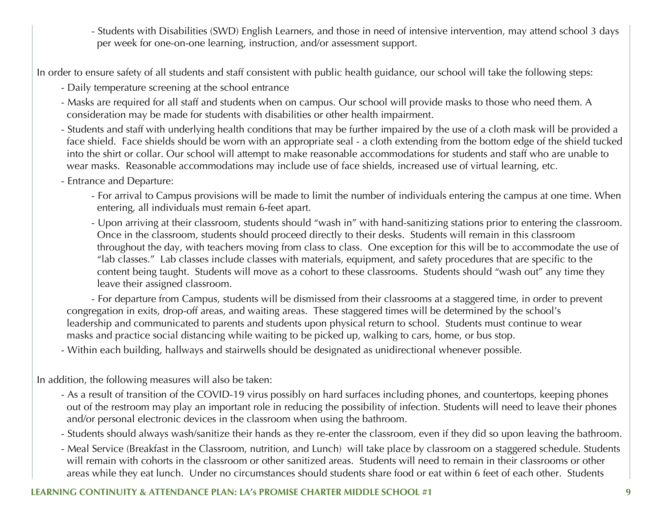- Students with Disabilities (SWD) English Learners, and those in need of intensive intervention, may attend school 3 days per week for one-on-one learning, instruction, and/or assessment support.

In order to ensure safety of all students and staff consistent with public health guidance, our school will take the following steps:

- Daily temperature screening at the school entrance
- Masks are required for all staff and students when on campus. Our school will provide masks to those who need them. A consideration may be made for students with disabilities or other health impairment.
- Students and staff with underlying health conditions that may be further impaired by the use of a cloth mask will be provided a face shield. Face shields should be worn with an appropriate seal - a cloth extending from the bottom edge of the shield tucked into the shirt or collar. Our school will attempt to make reasonable accommodations for students and staff who are unable to wear masks. Reasonable accommodations may include use of face shields, increased use of virtual learning, etc.
- Entrance and Departure:
	- For arrival to Campus provisions will be made to limit the number of individuals entering the campus at one time. When entering, all individuals must remain 6-feet apart.
	- Upon arriving at their classroom, students should "wash in" with hand-sanitizing stations prior to entering the classroom. Once in the classroom, students should proceed directly to their desks. Students will remain in this classroom throughout the day, with teachers moving from class to class. One exception for this will be to accommodate the use of "lab classes." Lab classes include classes with materials, equipment, and safety procedures that are specific to the content being taught. Students will move as a cohort to these classrooms. Students should "wash out" any time they leave their assigned classroom.

- For departure from Campus, students will be dismissed from their classrooms at a staggered time, in order to prevent congregation in exits, drop-off areas, and waiting areas. These staggered times will be determined by the school's leadership and communicated to parents and students upon physical return to school. Students must continue to wear masks and practice social distancing while waiting to be picked up, walking to cars, home, or bus stop.

- Within each building, hallways and stairwells should be designated as unidirectional whenever possible.

In addition, the following measures will also be taken:

- As a result of transition of the COVID-19 virus possibly on hard surfaces including phones, and countertops, keeping phones out of the restroom may play an important role in reducing the possibility of infection. Students will need to leave their phones and/or personal electronic devices in the classroom when using the bathroom.
- Students should always wash/sanitize their hands as they re-enter the classroom, even if they did so upon leaving the bathroom.
- Meal Service (Breakfast in the Classroom, nutrition, and Lunch) will take place by classroom on a staggered schedule. Students will remain with cohorts in the classroom or other sanitized areas. Students will need to remain in their classrooms or other areas while they eat lunch. Under no circumstances should students share food or eat within 6 feet of each other. Students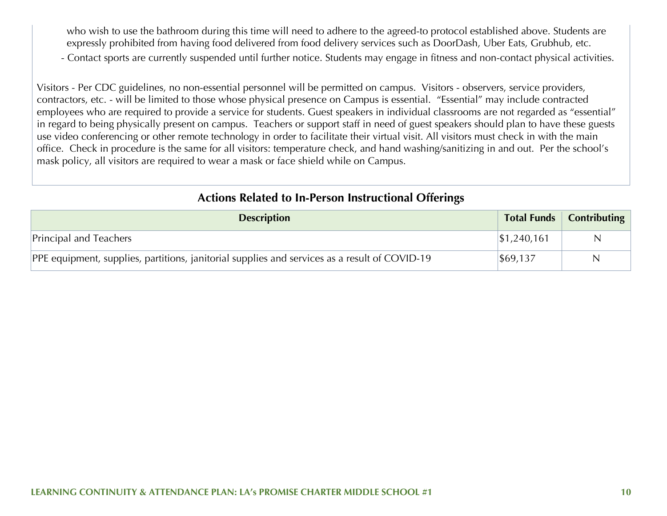who wish to use the bathroom during this time will need to adhere to the agreed-to protocol established above. Students are expressly prohibited from having food delivered from food delivery services such as DoorDash, Uber Eats, Grubhub, etc.

- Contact sports are currently suspended until further notice. Students may engage in fitness and non-contact physical activities.

Visitors - Per CDC guidelines, no non-essential personnel will be permitted on campus. Visitors - observers, service providers, contractors, etc. - will be limited to those whose physical presence on Campus is essential. "Essential" may include contracted employees who are required to provide a service for students. Guest speakers in individual classrooms are not regarded as "essential" in regard to being physically present on campus. Teachers or support staff in need of guest speakers should plan to have these guests use video conferencing or other remote technology in order to facilitate their virtual visit. All visitors must check in with the main office. Check in procedure is the same for all visitors: temperature check, and hand washing/sanitizing in and out. Per the school's mask policy, all visitors are required to wear a mask or face shield while on Campus.

#### **Actions Related to In-Person Instructional Offerings**

| <b>Description</b>                                                                                        |                     | Total Funds   Contributing |
|-----------------------------------------------------------------------------------------------------------|---------------------|----------------------------|
| Principal and Teachers                                                                                    | $\vert$ \$1,240,161 | N                          |
| PPE equipment, supplies, partitions, janitorial supplies and services as a result of COVID-19<br>\$69,137 |                     | N                          |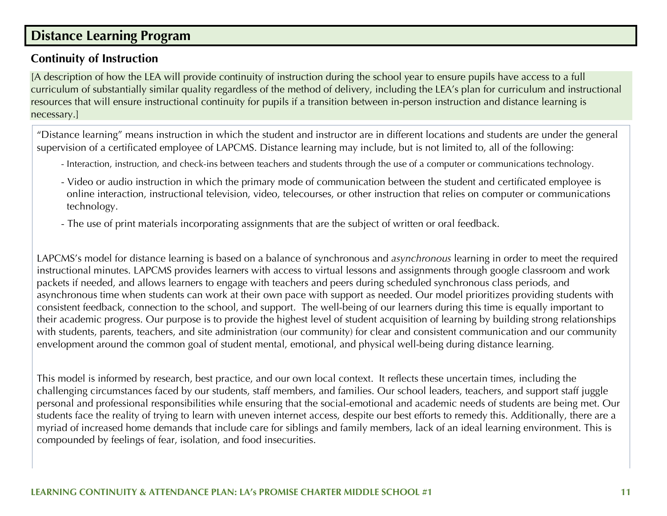### **Distance Learning Program**

#### **Continuity of Instruction**

[A description of how the LEA will provide continuity of instruction during the school year to ensure pupils have access to a full curriculum of substantially similar quality regardless of the method of delivery, including the LEA's plan for curriculum and instructional resources that will ensure instructional continuity for pupils if a transition between in-person instruction and distance learning is necessary.]

"Distance learning" means instruction in which the student and instructor are in different locations and students are under the general supervision of a certificated employee of LAPCMS. Distance learning may include, but is not limited to, all of the following:

- Interaction, instruction, and check-ins between teachers and students through the use of a computer or communications technology.
- Video or audio instruction in which the primary mode of communication between the student and certificated employee is online interaction, instructional television, video, telecourses, or other instruction that relies on computer or communications technology.
- The use of print materials incorporating assignments that are the subject of written or oral feedback.

LAPCMS's model for distance learning is based on a balance of synchronous and *asynchronous* learning in order to meet the required instructional minutes. LAPCMS provides learners with access to virtual lessons and assignments through google classroom and work packets if needed, and allows learners to engage with teachers and peers during scheduled synchronous class periods, and asynchronous time when students can work at their own pace with support as needed. Our model prioritizes providing students with consistent feedback, connection to the school, and support. The well-being of our learners during this time is equally important to their academic progress. Our purpose is to provide the highest level of student acquisition of learning by building strong relationships with students, parents, teachers, and site administration (our community) for clear and consistent communication and our community envelopment around the common goal of student mental, emotional, and physical well-being during distance learning.

This model is informed by research, best practice, and our own local context. It reflects these uncertain times, including the challenging circumstances faced by our students, staff members, and families. Our school leaders, teachers, and support staff juggle personal and professional responsibilities while ensuring that the social-emotional and academic needs of students are being met. Our students face the reality of trying to learn with uneven internet access, despite our best efforts to remedy this. Additionally, there are a myriad of increased home demands that include care for siblings and family members, lack of an ideal learning environment. This is compounded by feelings of fear, isolation, and food insecurities.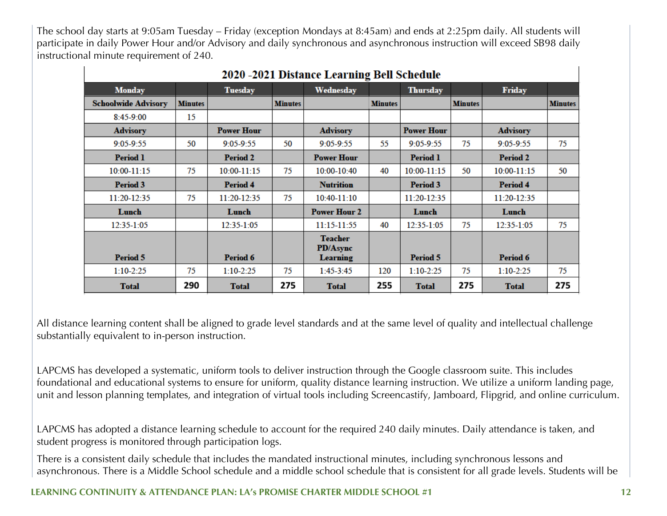The school day starts at 9:05am Tuesday – Friday (exception Mondays at 8:45am) and ends at 2:25pm daily. All students will participate in daily Power Hour and/or Advisory and daily synchronous and asynchronous instruction will exceed SB98 daily instructional minute requirement of 240.

|                            |                |                   |                | $\sim$ 2021 Distance Bearing Ben $\approx$    |                |                   |                |                 |                |
|----------------------------|----------------|-------------------|----------------|-----------------------------------------------|----------------|-------------------|----------------|-----------------|----------------|
| <b>Monday</b>              |                | <b>Tuesday</b>    |                | Wednesday                                     |                | <b>Thursday</b>   |                | Friday          |                |
| <b>Schoolwide Advisory</b> | <b>Minutes</b> |                   | <b>Minutes</b> |                                               | <b>Minutes</b> |                   | <b>Minutes</b> |                 | <b>Minutes</b> |
| 8:45-9:00                  | 15             |                   |                |                                               |                |                   |                |                 |                |
| <b>Advisory</b>            |                | <b>Power Hour</b> |                | <b>Advisory</b>                               |                | <b>Power Hour</b> |                | <b>Advisory</b> |                |
| $9:05-9:55$                | 50             | $9:05-9:55$       | 50             | $9:05-9:55$                                   | 55             | $9:05-9:55$       | 75             | $9:05 - 9:55$   | 75             |
| <b>Period 1</b>            |                | <b>Period 2</b>   |                | <b>Power Hour</b>                             |                | <b>Period 1</b>   |                | <b>Period 2</b> |                |
| 10:00-11:15                | 75             | $10:00 - 11:15$   | 75             | 10:00-10:40                                   | 40             | $10:00 - 11:15$   | 50             | 10:00-11:15     | 50             |
| <b>Period 3</b>            |                | <b>Period 4</b>   |                | <b>Nutrition</b>                              |                | <b>Period 3</b>   |                | <b>Period 4</b> |                |
| $11:20-12:35$              | 75             | $11:20-12:35$     | 75             | $10:40-11:10$                                 |                | $11:20-12:35$     |                | 11:20-12:35     |                |
| Lunch                      |                | Lunch             |                | <b>Power Hour 2</b>                           |                | Lunch             |                | Lunch           |                |
| 12:35-1:05                 |                | $12:35-1:05$      |                | $11:15-11:55$                                 | 40             | 12:35-1:05        | 75             | 12:35-1:05      | 75             |
| <b>Period 5</b>            |                | Period 6          |                | <b>Teacher</b><br>PD/Async<br><b>Learning</b> |                | <b>Period 5</b>   |                | Period 6        |                |
| $1:10-2:25$                | 75             | $1:10-2:25$       | 75             | $1:45-3:45$                                   | 120            | $1:10-2:25$       | 75             | $1:10-2:25$     | 75             |
| Total                      | 290            | <b>Total</b>      | 275            | <b>Total</b>                                  | 255            | <b>Total</b>      | 275            | <b>Total</b>    | 275            |

All distance learning content shall be aligned to grade level standards and at the same level of quality and intellectual challenge substantially equivalent to in-person instruction.

LAPCMS has developed a systematic, uniform tools to deliver instruction through the Google classroom suite. This includes foundational and educational systems to ensure for uniform, quality distance learning instruction. We utilize a uniform landing page, unit and lesson planning templates, and integration of virtual tools including Screencastify, Jamboard, Flipgrid, and online curriculum.

LAPCMS has adopted a distance learning schedule to account for the required 240 daily minutes. Daily attendance is taken, and student progress is monitored through participation logs.

There is a consistent daily schedule that includes the mandated instructional minutes, including synchronous lessons and asynchronous. There is a Middle School schedule and a middle school schedule that is consistent for all grade levels. Students will be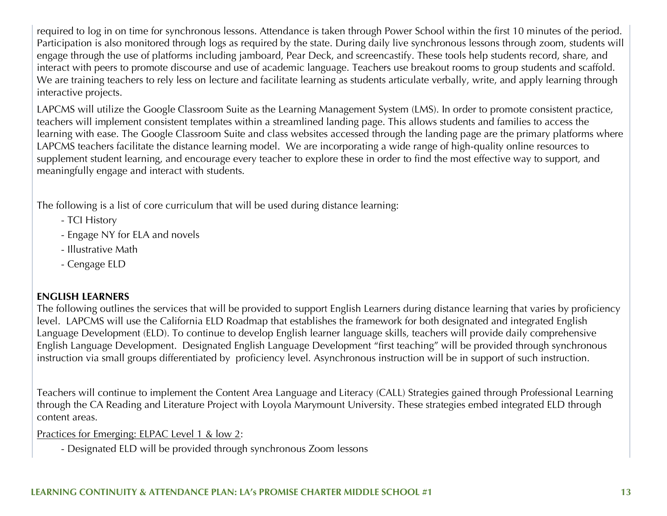required to log in on time for synchronous lessons. Attendance is taken through Power School within the first 10 minutes of the period. Participation is also monitored through logs as required by the state. During daily live synchronous lessons through zoom, students will engage through the use of platforms including jamboard, Pear Deck, and screencastify. These tools help students record, share, and interact with peers to promote discourse and use of academic language. Teachers use breakout rooms to group students and scaffold. We are training teachers to rely less on lecture and facilitate learning as students articulate verbally, write, and apply learning through interactive projects.

LAPCMS will utilize the Google Classroom Suite as the Learning Management System (LMS). In order to promote consistent practice, teachers will implement consistent templates within a streamlined landing page. This allows students and families to access the learning with ease. The Google Classroom Suite and class websites accessed through the landing page are the primary platforms where LAPCMS teachers facilitate the distance learning model. We are incorporating a wide range of high-quality online resources to supplement student learning, and encourage every teacher to explore these in order to find the most effective way to support, and meaningfully engage and interact with students.

The following is a list of core curriculum that will be used during distance learning:

- TCI History
- Engage NY for ELA and novels
- Illustrative Math
- Cengage ELD

#### **ENGLISH LEARNERS**

The following outlines the services that will be provided to support English Learners during distance learning that varies by proficiency level. LAPCMS will use the California ELD Roadmap that establishes the framework for both designated and integrated English Language Development (ELD). To continue to develop English learner language skills, teachers will provide daily comprehensive English Language Development. Designated English Language Development "first teaching" will be provided through synchronous instruction via small groups differentiated by proficiency level. Asynchronous instruction will be in support of such instruction.

Teachers will continue to implement the Content Area Language and Literacy (CALL) Strategies gained through Professional Learning through the CA Reading and Literature Project with Loyola Marymount University. These strategies embed integrated ELD through content areas.

Practices for Emerging: ELPAC Level 1 & low 2:

- Designated ELD will be provided through synchronous Zoom lessons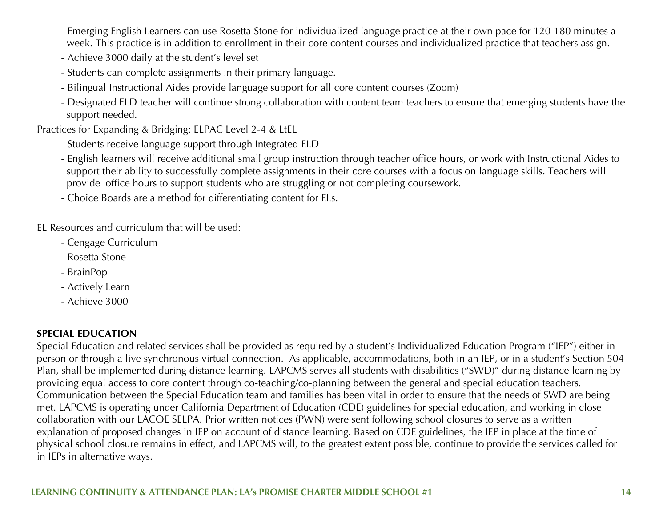- Emerging English Learners can use Rosetta Stone for individualized language practice at their own pace for 120-180 minutes a week. This practice is in addition to enrollment in their core content courses and individualized practice that teachers assign.
- Achieve 3000 daily at the student's level set
- Students can complete assignments in their primary language.
- Bilingual Instructional Aides provide language support for all core content courses (Zoom)
- Designated ELD teacher will continue strong collaboration with content team teachers to ensure that emerging students have the support needed.

#### Practices for Expanding & Bridging: ELPAC Level 2-4 & LtEL

- Students receive language support through Integrated ELD
- English learners will receive additional small group instruction through teacher office hours, or work with Instructional Aides to support their ability to successfully complete assignments in their core courses with a focus on language skills. Teachers will provide office hours to support students who are struggling or not completing coursework.
- Choice Boards are a method for differentiating content for ELs.

#### EL Resources and curriculum that will be used:

- Cengage Curriculum
- Rosetta Stone
- BrainPop
- Actively Learn
- Achieve 3000

#### **SPECIAL EDUCATION**

Special Education and related services shall be provided as required by a student's Individualized Education Program ("IEP") either inperson or through a live synchronous virtual connection. As applicable, accommodations, both in an IEP, or in a student's Section 504 Plan, shall be implemented during distance learning. LAPCMS serves all students with disabilities ("SWD)" during distance learning by providing equal access to core content through co-teaching/co-planning between the general and special education teachers. Communication between the Special Education team and families has been vital in order to ensure that the needs of SWD are being met. LAPCMS is operating under California Department of Education (CDE) guidelines for special education, and working in close collaboration with our LACOE SELPA. Prior written notices (PWN) were sent following school closures to serve as a written explanation of proposed changes in IEP on account of distance learning. Based on CDE guidelines, the IEP in place at the time of physical school closure remains in effect, and LAPCMS will, to the greatest extent possible, continue to provide the services called for in IEPs in alternative ways.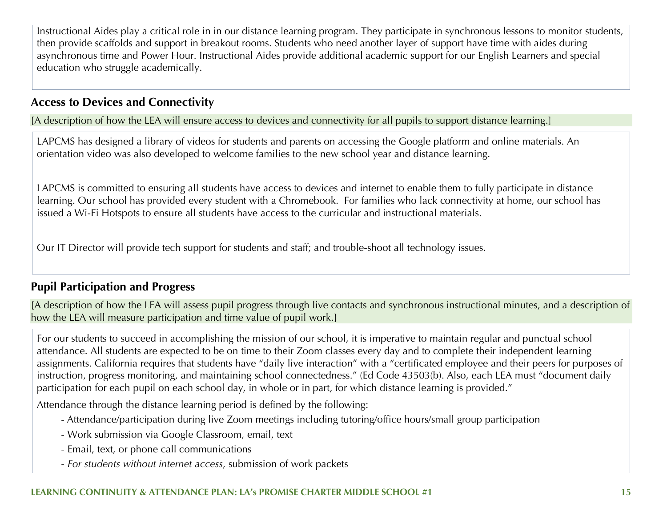Instructional Aides play a critical role in in our distance learning program. They participate in synchronous lessons to monitor students, then provide scaffolds and support in breakout rooms. Students who need another layer of support have time with aides during asynchronous time and Power Hour. Instructional Aides provide additional academic support for our English Learners and special education who struggle academically.

#### **Access to Devices and Connectivity**

[A description of how the LEA will ensure access to devices and connectivity for all pupils to support distance learning.]

LAPCMS has designed a library of videos for students and parents on accessing the Google platform and online materials. An orientation video was also developed to welcome families to the new school year and distance learning.

LAPCMS is committed to ensuring all students have access to devices and internet to enable them to fully participate in distance learning. Our school has provided every student with a Chromebook. For families who lack connectivity at home, our school has issued a Wi-Fi Hotspots to ensure all students have access to the curricular and instructional materials.

Our IT Director will provide tech support for students and staff; and trouble-shoot all technology issues.

### **Pupil Participation and Progress**

[A description of how the LEA will assess pupil progress through live contacts and synchronous instructional minutes, and a description of how the LEA will measure participation and time value of pupil work.]

For our students to succeed in accomplishing the mission of our school, it is imperative to maintain regular and punctual school attendance. All students are expected to be on time to their Zoom classes every day and to complete their independent learning assignments. California requires that students have "daily live interaction" with a "certificated employee and their peers for purposes of instruction, progress monitoring, and maintaining school connectedness." (Ed Code 43503(b). Also, each LEA must "document daily participation for each pupil on each school day, in whole or in part, for which distance learning is provided."

Attendance through the distance learning period is defined by the following:

- Attendance/participation during live Zoom meetings including tutoring/office hours/small group participation
- Work submission via Google Classroom, email, text
- Email, text, or phone call communications
- *For students without internet access*, submission of work packets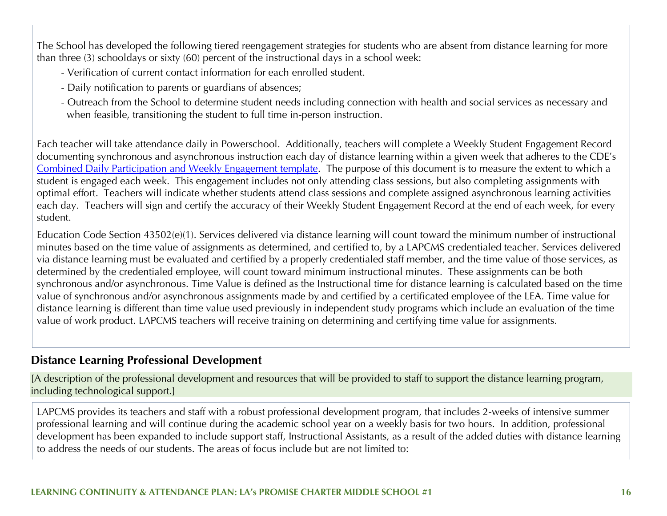The School has developed the following tiered reengagement strategies for students who are absent from distance learning for more than three (3) schooldays or sixty (60) percent of the instructional days in a school week:

- Verification of current contact information for each enrolled student.
- Daily notification to parents or guardians of absences;
- Outreach from the School to determine student needs including connection with health and social services as necessary and when feasible, transitioning the student to full time in-person instruction.

Each teacher will take attendance daily in Powerschool. Additionally, teachers will complete a Weekly Student Engagement Record documenting synchronous and asynchronous instruction each day of distance learning within a given week that adheres to the CDE's Combined Daily Participation and Weekly Engagement template. The purpose of this document is to measure the extent to which a student is engaged each week. This engagement includes not only attending class sessions, but also completing assignments with optimal effort. Teachers will indicate whether students attend class sessions and complete assigned asynchronous learning activities each day. Teachers will sign and certify the accuracy of their Weekly Student Engagement Record at the end of each week, for every student.

Education Code Section 43502(e)(1). Services delivered via distance learning will count toward the minimum number of instructional minutes based on the time value of assignments as determined, and certified to, by a LAPCMS credentialed teacher. Services delivered via distance learning must be evaluated and certified by a properly credentialed staff member, and the time value of those services, as determined by the credentialed employee, will count toward minimum instructional minutes. These assignments can be both synchronous and/or asynchronous. Time Value is defined as the Instructional time for distance learning is calculated based on the time value of synchronous and/or asynchronous assignments made by and certified by a certificated employee of the LEA. Time value for distance learning is different than time value used previously in independent study programs which include an evaluation of the time value of work product. LAPCMS teachers will receive training on determining and certifying time value for assignments.

#### **Distance Learning Professional Development**

[A description of the professional development and resources that will be provided to staff to support the distance learning program, including technological support.]

LAPCMS provides its teachers and staff with a robust professional development program, that includes 2-weeks of intensive summer professional learning and will continue during the academic school year on a weekly basis for two hours. In addition, professional development has been expanded to include support staff, Instructional Assistants, as a result of the added duties with distance learning to address the needs of our students. The areas of focus include but are not limited to: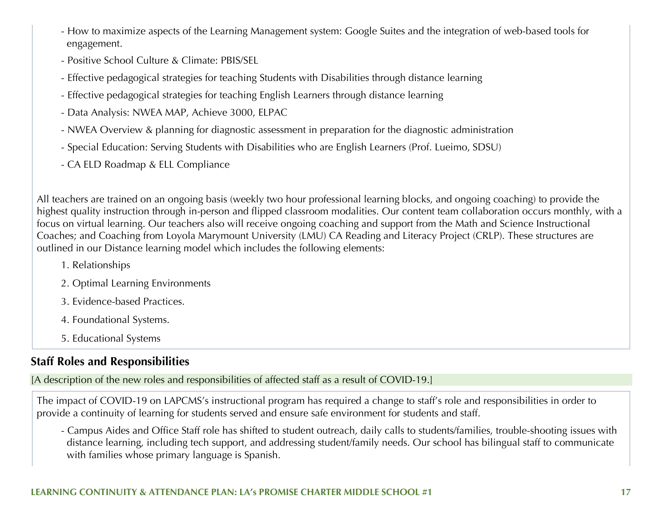- How to maximize aspects of the Learning Management system: Google Suites and the integration of web-based tools for engagement.
- Positive School Culture & Climate: PBIS/SEL
- Effective pedagogical strategies for teaching Students with Disabilities through distance learning
- Effective pedagogical strategies for teaching English Learners through distance learning
- Data Analysis: NWEA MAP, Achieve 3000, ELPAC
- NWEA Overview & planning for diagnostic assessment in preparation for the diagnostic administration
- Special Education: Serving Students with Disabilities who are English Learners (Prof. Lueimo, SDSU)
- CA ELD Roadmap & ELL Compliance

All teachers are trained on an ongoing basis (weekly two hour professional learning blocks, and ongoing coaching) to provide the highest quality instruction through in-person and flipped classroom modalities. Our content team collaboration occurs monthly, with a focus on virtual learning. Our teachers also will receive ongoing coaching and support from the Math and Science Instructional Coaches; and Coaching from Loyola Marymount University (LMU) CA Reading and Literacy Project (CRLP). These structures are outlined in our Distance learning model which includes the following elements:

- 1. Relationships
- 2. Optimal Learning Environments
- 3. Evidence-based Practices.
- 4. Foundational Systems.
- 5. Educational Systems

### **Staff Roles and Responsibilities**

[A description of the new roles and responsibilities of affected staff as a result of COVID-19.]

The impact of COVID-19 on LAPCMS's instructional program has required a change to staff's role and responsibilities in order to provide a continuity of learning for students served and ensure safe environment for students and staff.

- Campus Aides and Office Staff role has shifted to student outreach, daily calls to students/families, trouble-shooting issues with distance learning, including tech support, and addressing student/family needs. Our school has bilingual staff to communicate with families whose primary language is Spanish.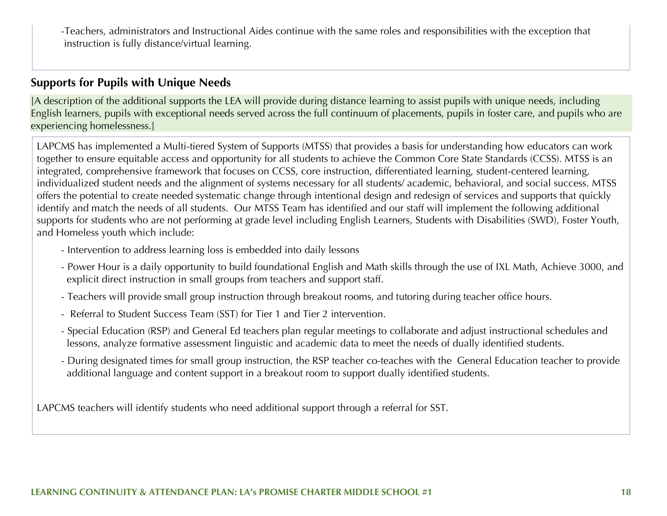-Teachers, administrators and Instructional Aides continue with the same roles and responsibilities with the exception that instruction is fully distance/virtual learning.

#### **Supports for Pupils with Unique Needs**

[A description of the additional supports the LEA will provide during distance learning to assist pupils with unique needs, including English learners, pupils with exceptional needs served across the full continuum of placements, pupils in foster care, and pupils who are experiencing homelessness.]

LAPCMS has implemented a Multi-tiered System of Supports (MTSS) that provides a basis for understanding how educators can work together to ensure equitable access and opportunity for all students to achieve the Common Core State Standards (CCSS). MTSS is an integrated, comprehensive framework that focuses on CCSS, core instruction, differentiated learning, student-centered learning, individualized student needs and the alignment of systems necessary for all students/ academic, behavioral, and social success. MTSS offers the potential to create needed systematic change through intentional design and redesign of services and supports that quickly identify and match the needs of all students. Our MTSS Team has identified and our staff will implement the following additional supports for students who are not performing at grade level including English Learners, Students with Disabilities (SWD), Foster Youth, and Homeless youth which include:

- Intervention to address learning loss is embedded into daily lessons
- Power Hour is a daily opportunity to build foundational English and Math skills through the use of IXL Math, Achieve 3000, and explicit direct instruction in small groups from teachers and support staff.
- Teachers will provide small group instruction through breakout rooms, and tutoring during teacher office hours.
- Referral to Student Success Team (SST) for Tier 1 and Tier 2 intervention.
- Special Education (RSP) and General Ed teachers plan regular meetings to collaborate and adjust instructional schedules and lessons, analyze formative assessment linguistic and academic data to meet the needs of dually identified students.
- During designated times for small group instruction, the RSP teacher co-teaches with the General Education teacher to provide additional language and content support in a breakout room to support dually identified students.

LAPCMS teachers will identify students who need additional support through a referral for SST.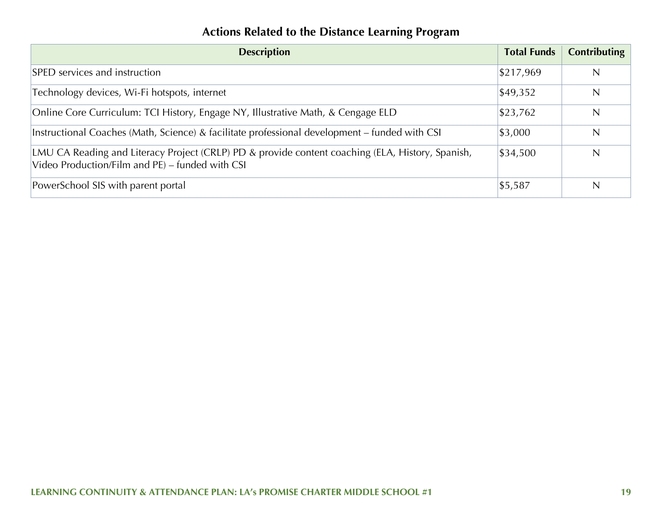### **Actions Related to the Distance Learning Program**

| <b>Description</b>                                                                                                                                  | <b>Total Funds</b> | <b>Contributing</b> |
|-----------------------------------------------------------------------------------------------------------------------------------------------------|--------------------|---------------------|
| SPED services and instruction                                                                                                                       | \$217,969          | N                   |
| Technology devices, Wi-Fi hotspots, internet                                                                                                        | \$49,352           | N                   |
| Online Core Curriculum: TCI History, Engage NY, Illustrative Math, & Cengage ELD                                                                    | \$23,762           | N                   |
| Instructional Coaches (Math, Science) & facilitate professional development - funded with CSI                                                       | \$3,000            | N                   |
| LMU CA Reading and Literacy Project (CRLP) PD & provide content coaching (ELA, History, Spanish,<br>Video Production/Film and PE) – funded with CSI | \$34,500           | N                   |
| PowerSchool SIS with parent portal                                                                                                                  | \$5,587            | $\mathsf{N}$        |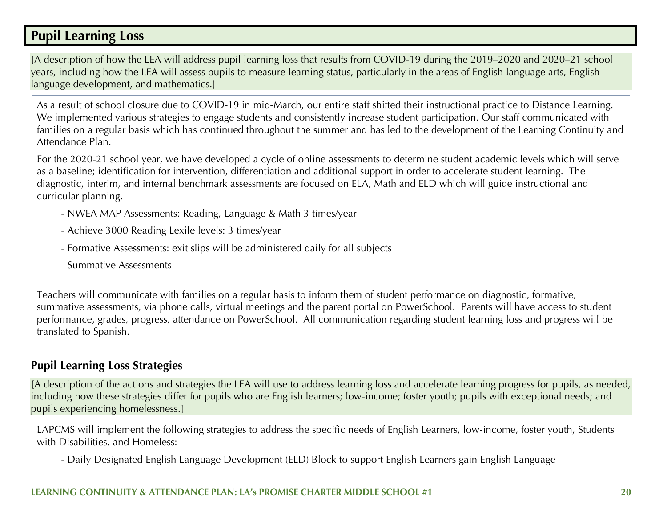### **Pupil Learning Loss**

[A description of how the LEA will address pupil learning loss that results from COVID-19 during the 2019–2020 and 2020–21 school years, including how the LEA will assess pupils to measure learning status, particularly in the areas of English language arts, English language development, and mathematics.]

As a result of school closure due to COVID-19 in mid-March, our entire staff shifted their instructional practice to Distance Learning. We implemented various strategies to engage students and consistently increase student participation. Our staff communicated with families on a regular basis which has continued throughout the summer and has led to the development of the Learning Continuity and Attendance Plan.

For the 2020-21 school year, we have developed a cycle of online assessments to determine student academic levels which will serve as a baseline; identification for intervention, differentiation and additional support in order to accelerate student learning. The diagnostic, interim, and internal benchmark assessments are focused on ELA, Math and ELD which will guide instructional and curricular planning.

- NWEA MAP Assessments: Reading, Language & Math 3 times/year
- Achieve 3000 Reading Lexile levels: 3 times/year
- Formative Assessments: exit slips will be administered daily for all subjects
- Summative Assessments

Teachers will communicate with families on a regular basis to inform them of student performance on diagnostic, formative, summative assessments, via phone calls, virtual meetings and the parent portal on PowerSchool. Parents will have access to student performance, grades, progress, attendance on PowerSchool. All communication regarding student learning loss and progress will be translated to Spanish.

#### **Pupil Learning Loss Strategies**

[A description of the actions and strategies the LEA will use to address learning loss and accelerate learning progress for pupils, as needed, including how these strategies differ for pupils who are English learners; low-income; foster youth; pupils with exceptional needs; and pupils experiencing homelessness.]

LAPCMS will implement the following strategies to address the specific needs of English Learners, low-income, foster youth, Students with Disabilities, and Homeless:

- Daily Designated English Language Development (ELD) Block to support English Learners gain English Language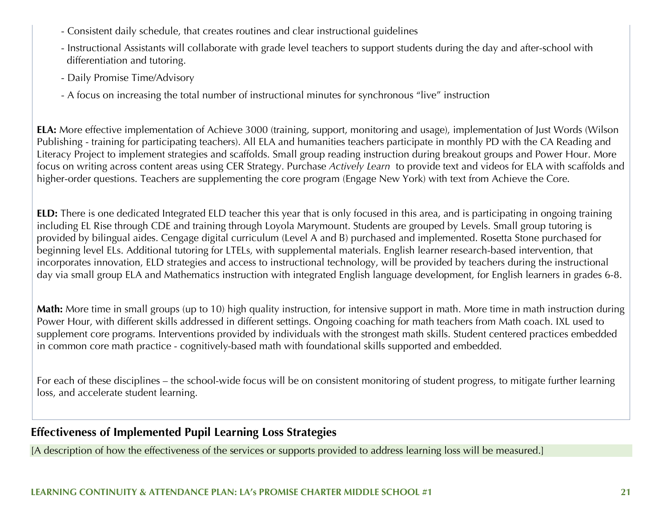- Consistent daily schedule, that creates routines and clear instructional guidelines
- Instructional Assistants will collaborate with grade level teachers to support students during the day and after-school with differentiation and tutoring.
- Daily Promise Time/Advisory
- A focus on increasing the total number of instructional minutes for synchronous "live" instruction

**ELA:** More effective implementation of Achieve 3000 (training, support, monitoring and usage), implementation of Just Words (Wilson Publishing - training for participating teachers). All ELA and humanities teachers participate in monthly PD with the CA Reading and Literacy Project to implement strategies and scaffolds. Small group reading instruction during breakout groups and Power Hour. More focus on writing across content areas using CER Strategy. Purchase *Actively Learn* to provide text and videos for ELA with scaffolds and higher-order questions. Teachers are supplementing the core program (Engage New York) with text from Achieve the Core.

**ELD:** There is one dedicated Integrated ELD teacher this year that is only focused in this area, and is participating in ongoing training including EL Rise through CDE and training through Loyola Marymount. Students are grouped by Levels. Small group tutoring is provided by bilingual aides. Cengage digital curriculum (Level A and B) purchased and implemented. Rosetta Stone purchased for beginning level ELs. Additional tutoring for LTELs, with supplemental materials. English learner research-based intervention, that incorporates innovation, ELD strategies and access to instructional technology, will be provided by teachers during the instructional day via small group ELA and Mathematics instruction with integrated English language development, for English learners in grades 6-8.

**Math:** More time in small groups (up to 10) high quality instruction, for intensive support in math. More time in math instruction during Power Hour, with different skills addressed in different settings. Ongoing coaching for math teachers from Math coach. IXL used to supplement core programs. Interventions provided by individuals with the strongest math skills. Student centered practices embedded in common core math practice - cognitively-based math with foundational skills supported and embedded.

For each of these disciplines – the school-wide focus will be on consistent monitoring of student progress, to mitigate further learning loss, and accelerate student learning.

### **Effectiveness of Implemented Pupil Learning Loss Strategies**

[A description of how the effectiveness of the services or supports provided to address learning loss will be measured.]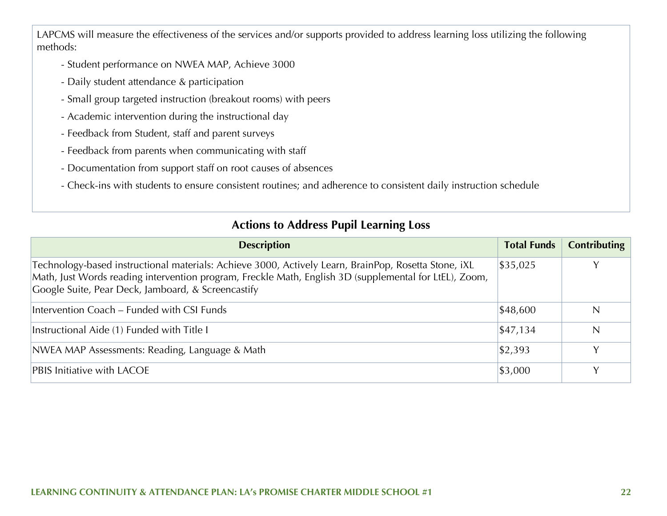LAPCMS will measure the effectiveness of the services and/or supports provided to address learning loss utilizing the following methods:

- Student performance on NWEA MAP, Achieve 3000
- Daily student attendance & participation
- Small group targeted instruction (breakout rooms) with peers
- Academic intervention during the instructional day
- Feedback from Student, staff and parent surveys
- Feedback from parents when communicating with staff
- Documentation from support staff on root causes of absences
- Check-ins with students to ensure consistent routines; and adherence to consistent daily instruction schedule

#### **Actions to Address Pupil Learning Loss**

| <b>Description</b>                                                                                                                                                                                                                                                   | <b>Total Funds</b>  | <b>Contributing</b> |
|----------------------------------------------------------------------------------------------------------------------------------------------------------------------------------------------------------------------------------------------------------------------|---------------------|---------------------|
| Technology-based instructional materials: Achieve 3000, Actively Learn, BrainPop, Rosetta Stone, iXL<br>Math, Just Words reading intervention program, Freckle Math, English 3D (supplemental for LtEL), Zoom,<br>Google Suite, Pear Deck, Jamboard, & Screencastify | \$35,025            | v                   |
| Intervention Coach – Funded with CSI Funds                                                                                                                                                                                                                           | \$48,600            | N                   |
| Instructional Aide (1) Funded with Title I                                                                                                                                                                                                                           | $\frac{1}{2}47,134$ | N                   |
| NWEA MAP Assessments: Reading, Language & Math                                                                                                                                                                                                                       | $\frac{1}{2}$ ,393  | $\vee$              |
| <b>PBIS Initiative with LACOE</b>                                                                                                                                                                                                                                    | \$3,000             |                     |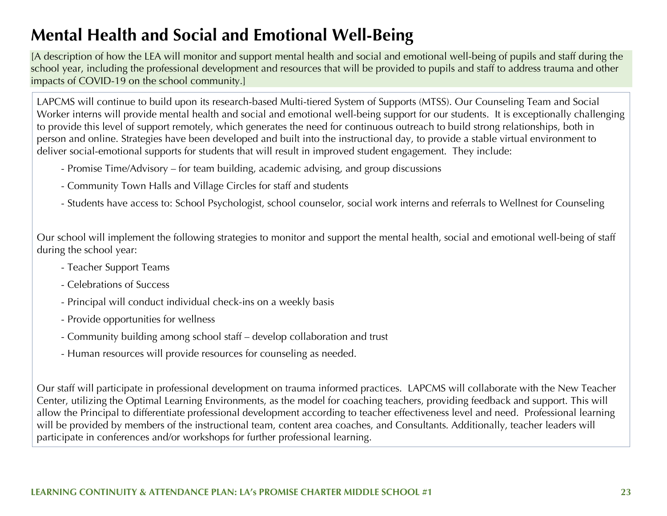## **Mental Health and Social and Emotional Well-Being**

[A description of how the LEA will monitor and support mental health and social and emotional well-being of pupils and staff during the school year, including the professional development and resources that will be provided to pupils and staff to address trauma and other impacts of COVID-19 on the school community.]

LAPCMS will continue to build upon its research-based Multi-tiered System of Supports (MTSS). Our Counseling Team and Social Worker interns will provide mental health and social and emotional well-being support for our students. It is exceptionally challenging to provide this level of support remotely, which generates the need for continuous outreach to build strong relationships, both in person and online. Strategies have been developed and built into the instructional day, to provide a stable virtual environment to deliver social-emotional supports for students that will result in improved student engagement. They include:

- Promise Time/Advisory for team building, academic advising, and group discussions
- Community Town Halls and Village Circles for staff and students
- Students have access to: School Psychologist, school counselor, social work interns and referrals to Wellnest for Counseling

Our school will implement the following strategies to monitor and support the mental health, social and emotional well-being of staff during the school year:

- Teacher Support Teams
- Celebrations of Success
- Principal will conduct individual check-ins on a weekly basis
- Provide opportunities for wellness
- Community building among school staff develop collaboration and trust
- Human resources will provide resources for counseling as needed.

Our staff will participate in professional development on trauma informed practices. LAPCMS will collaborate with the New Teacher Center, utilizing the Optimal Learning Environments, as the model for coaching teachers, providing feedback and support. This will allow the Principal to differentiate professional development according to teacher effectiveness level and need. Professional learning will be provided by members of the instructional team, content area coaches, and Consultants. Additionally, teacher leaders will participate in conferences and/or workshops for further professional learning.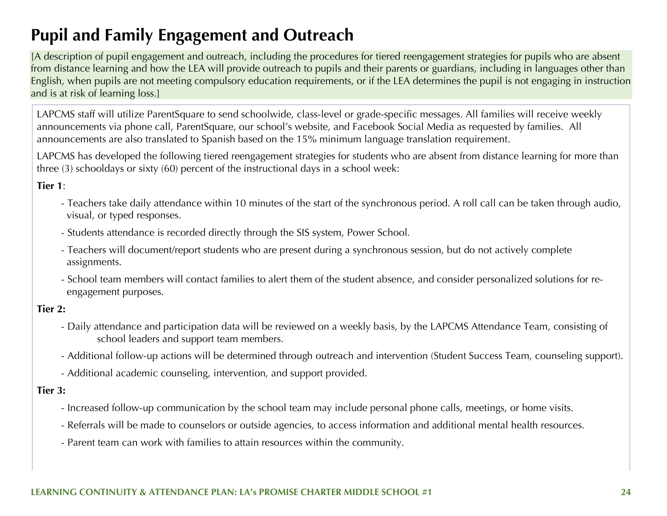## **Pupil and Family Engagement and Outreach**

[A description of pupil engagement and outreach, including the procedures for tiered reengagement strategies for pupils who are absent from distance learning and how the LEA will provide outreach to pupils and their parents or guardians, including in languages other than English, when pupils are not meeting compulsory education requirements, or if the LEA determines the pupil is not engaging in instruction and is at risk of learning loss.]

LAPCMS staff will utilize ParentSquare to send schoolwide, class-level or grade-specific messages. All families will receive weekly announcements via phone call, ParentSquare, our school's website, and Facebook Social Media as requested by families. All announcements are also translated to Spanish based on the 15% minimum language translation requirement.

LAPCMS has developed the following tiered reengagement strategies for students who are absent from distance learning for more than three (3) schooldays or sixty (60) percent of the instructional days in a school week:

#### **Tier 1**:

- Teachers take daily attendance within 10 minutes of the start of the synchronous period. A roll call can be taken through audio, visual, or typed responses.
- Students attendance is recorded directly through the SIS system, Power School.
- Teachers will document/report students who are present during a synchronous session, but do not actively complete assignments.
- School team members will contact families to alert them of the student absence, and consider personalized solutions for re engagement purposes.

#### **Tier 2:**

- Daily attendance and participation data will be reviewed on a weekly basis, by the LAPCMS Attendance Team, consisting of school leaders and support team members.
- Additional follow-up actions will be determined through outreach and intervention (Student Success Team, counseling support).
- Additional academic counseling, intervention, and support provided.

#### **Tier 3:**

- Increased follow-up communication by the school team may include personal phone calls, meetings, or home visits.
- Referrals will be made to counselors or outside agencies, to access information and additional mental health resources.
- Parent team can work with families to attain resources within the community.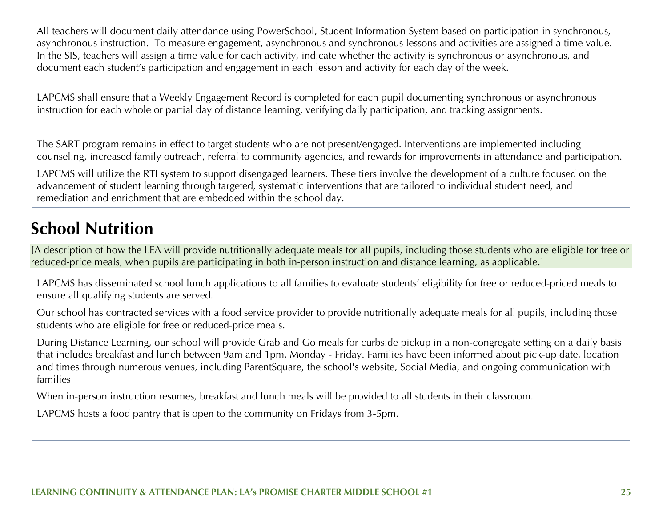All teachers will document daily attendance using PowerSchool, Student Information System based on participation in synchronous, asynchronous instruction. To measure engagement, asynchronous and synchronous lessons and activities are assigned a time value. In the SIS, teachers will assign a time value for each activity, indicate whether the activity is synchronous or asynchronous, and document each student's participation and engagement in each lesson and activity for each day of the week.

LAPCMS shall ensure that a Weekly Engagement Record is completed for each pupil documenting synchronous or asynchronous instruction for each whole or partial day of distance learning, verifying daily participation, and tracking assignments.

The SART program remains in effect to target students who are not present/engaged. Interventions are implemented including counseling, increased family outreach, referral to community agencies, and rewards for improvements in attendance and participation.

LAPCMS will utilize the RTI system to support disengaged learners. These tiers involve the development of a culture focused on the advancement of student learning through targeted, systematic interventions that are tailored to individual student need, and remediation and enrichment that are embedded within the school day.

## **School Nutrition**

[A description of how the LEA will provide nutritionally adequate meals for all pupils, including those students who are eligible for free or reduced-price meals, when pupils are participating in both in-person instruction and distance learning, as applicable.]

LAPCMS has disseminated school lunch applications to all families to evaluate students' eligibility for free or reduced-priced meals to ensure all qualifying students are served.

Our school has contracted services with a food service provider to provide nutritionally adequate meals for all pupils, including those students who are eligible for free or reduced-price meals.

During Distance Learning, our school will provide Grab and Go meals for curbside pickup in a non-congregate setting on a daily basis that includes breakfast and lunch between 9am and 1pm, Monday - Friday. Families have been informed about pick-up date, location and times through numerous venues, including ParentSquare, the school's website, Social Media, and ongoing communication with families

When in-person instruction resumes, breakfast and lunch meals will be provided to all students in their classroom.

LAPCMS hosts a food pantry that is open to the community on Fridays from 3-5pm.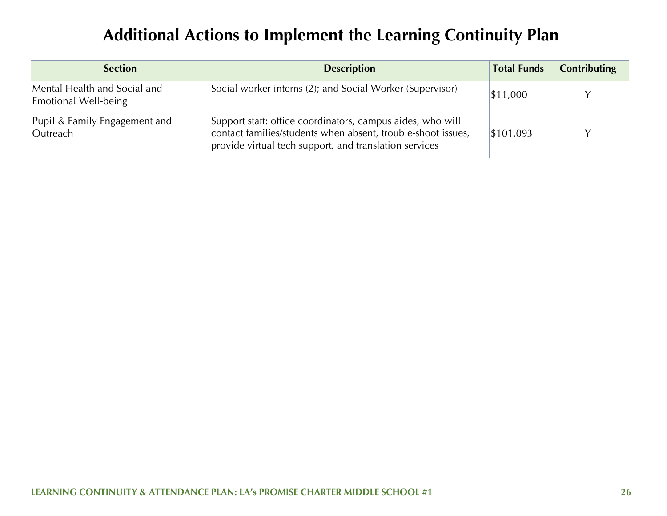## **Additional Actions to Implement the Learning Continuity Plan**

| <b>Section</b>                                       | <b>Description</b>                                                                                                                                                                   | <b>Total Funds</b> | <b>Contributing</b> |
|------------------------------------------------------|--------------------------------------------------------------------------------------------------------------------------------------------------------------------------------------|--------------------|---------------------|
| Mental Health and Social and<br>Emotional Well-being | Social worker interns (2); and Social Worker (Supervisor)                                                                                                                            | \$11,000           |                     |
| Pupil & Family Engagement and<br>Outreach            | Support staff: office coordinators, campus aides, who will<br>contact families/students when absent, trouble-shoot issues,<br>provide virtual tech support, and translation services | \$101,093          |                     |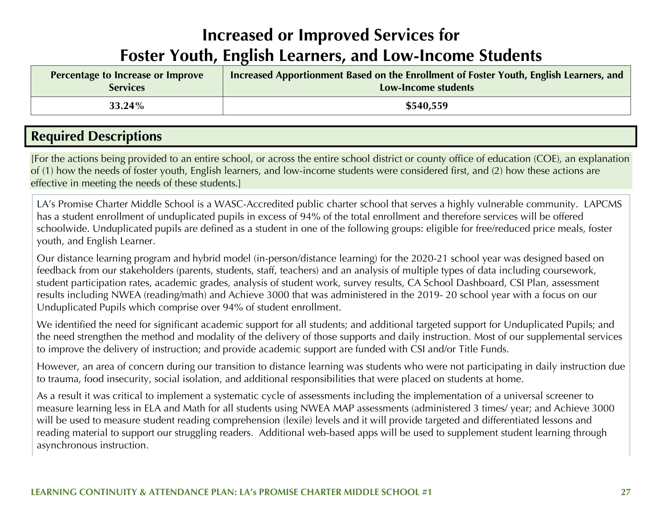## **Increased or Improved Services for Foster Youth, English Learners, and Low-Income Students**

| Percentage to Increase or Improve | Increased Apportionment Based on the Enrollment of Foster Youth, English Learners, and |
|-----------------------------------|----------------------------------------------------------------------------------------|
| <b>Services</b>                   | Low-Income students                                                                    |
| 33.24%                            | \$540,559                                                                              |

### **Required Descriptions**

[For the actions being provided to an entire school, or across the entire school district or county office of education (COE), an explanation of (1) how the needs of foster youth, English learners, and low-income students were considered first, and (2) how these actions are effective in meeting the needs of these students.]

LA's Promise Charter Middle School is a WASC-Accredited public charter school that serves a highly vulnerable community. LAPCMS has a student enrollment of unduplicated pupils in excess of 94% of the total enrollment and therefore services will be offered schoolwide. Unduplicated pupils are defined as a student in one of the following groups: eligible for free/reduced price meals, foster youth, and English Learner.

Our distance learning program and hybrid model (in-person/distance learning) for the 2020-21 school year was designed based on feedback from our stakeholders (parents, students, staff, teachers) and an analysis of multiple types of data including coursework, student participation rates, academic grades, analysis of student work, survey results, CA School Dashboard, CSI Plan, assessment results including NWEA (reading/math) and Achieve 3000 that was administered in the 2019- 20 school year with a focus on our Unduplicated Pupils which comprise over 94% of student enrollment.

We identified the need for significant academic support for all students; and additional targeted support for Unduplicated Pupils; and the need strengthen the method and modality of the delivery of those supports and daily instruction. Most of our supplemental services to improve the delivery of instruction; and provide academic support are funded with CSI and/or Title Funds.

However, an area of concern during our transition to distance learning was students who were not participating in daily instruction due to trauma, food insecurity, social isolation, and additional responsibilities that were placed on students at home.

As a result it was critical to implement a systematic cycle of assessments including the implementation of a universal screener to measure learning less in ELA and Math for all students using NWEA MAP assessments (administered 3 times/ year; and Achieve 3000 will be used to measure student reading comprehension (lexile) levels and it will provide targeted and differentiated lessons and reading material to support our struggling readers. Additional web-based apps will be used to supplement student learning through asynchronous instruction.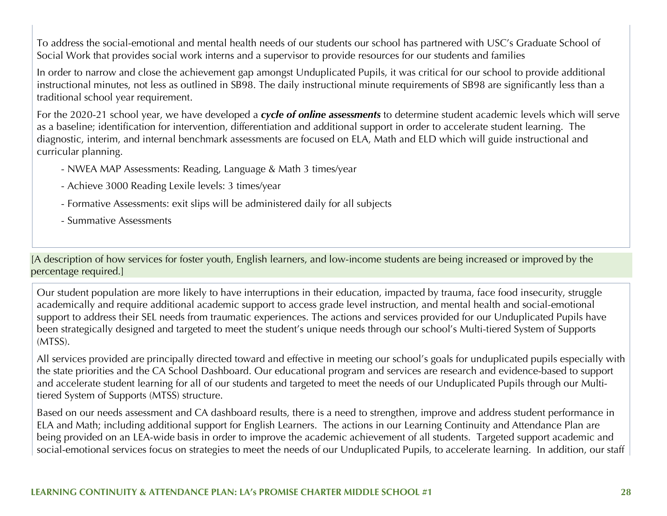To address the social-emotional and mental health needs of our students our school has partnered with USC's Graduate School of Social Work that provides social work interns and a supervisor to provide resources for our students and families

In order to narrow and close the achievement gap amongst Unduplicated Pupils, it was critical for our school to provide additional instructional minutes, not less as outlined in SB98. The daily instructional minute requirements of SB98 are significantly less than a traditional school year requirement.

For the 2020-21 school year, we have developed a *cycle of online assessments* to determine student academic levels which will serve as a baseline; identification for intervention, differentiation and additional support in order to accelerate student learning. The diagnostic, interim, and internal benchmark assessments are focused on ELA, Math and ELD which will guide instructional and curricular planning.

- NWEA MAP Assessments: Reading, Language & Math 3 times/year
- Achieve 3000 Reading Lexile levels: 3 times/year
- Formative Assessments: exit slips will be administered daily for all subjects
- Summative Assessments

[A description of how services for foster youth, English learners, and low-income students are being increased or improved by the percentage required.]

Our student population are more likely to have interruptions in their education, impacted by trauma, face food insecurity, struggle academically and require additional academic support to access grade level instruction, and mental health and social-emotional support to address their SEL needs from traumatic experiences. The actions and services provided for our Unduplicated Pupils have been strategically designed and targeted to meet the student's unique needs through our school's Multi-tiered System of Supports (MTSS).

All services provided are principally directed toward and effective in meeting our school's goals for unduplicated pupils especially with the state priorities and the CA School Dashboard. Our educational program and services are research and evidence-based to support and accelerate student learning for all of our students and targeted to meet the needs of our Unduplicated Pupils through our Multitiered System of Supports (MTSS) structure.

Based on our needs assessment and CA dashboard results, there is a need to strengthen, improve and address student performance in ELA and Math; including additional support for English Learners. The actions in our Learning Continuity and Attendance Plan are being provided on an LEA-wide basis in order to improve the academic achievement of all students. Targeted support academic and social-emotional services focus on strategies to meet the needs of our Unduplicated Pupils, to accelerate learning. In addition, our staff